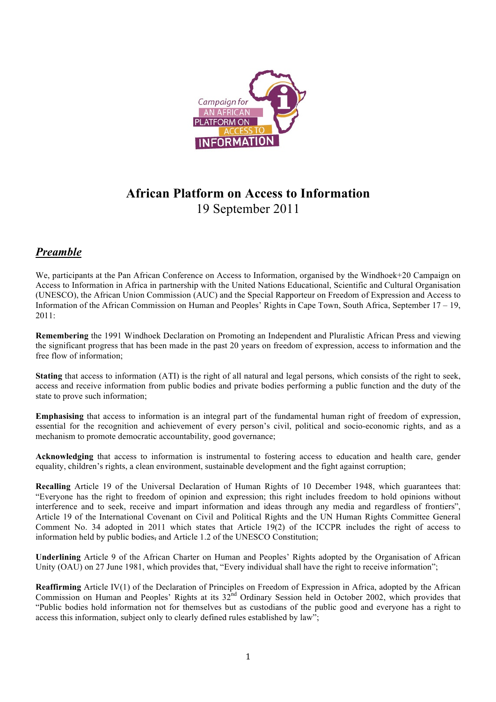

# **African Platform on Access to Information** 19 September 2011

### *Preamble*

We, participants at the Pan African Conference on Access to Information, organised by the Windhoek+20 Campaign on Access to Information in Africa in partnership with the United Nations Educational, Scientific and Cultural Organisation (UNESCO), the African Union Commission (AUC) and the Special Rapporteur on Freedom of Expression and Access to Information of the African Commission on Human and Peoples' Rights in Cape Town, South Africa, September 17 – 19, 2011:

**Remembering** the 1991 Windhoek Declaration on Promoting an Independent and Pluralistic African Press and viewing the significant progress that has been made in the past 20 years on freedom of expression, access to information and the free flow of information;

**Stating** that access to information (ATI) is the right of all natural and legal persons, which consists of the right to seek, access and receive information from public bodies and private bodies performing a public function and the duty of the state to prove such information;

**Emphasising** that access to information is an integral part of the fundamental human right of freedom of expression, essential for the recognition and achievement of every person's civil, political and socio-economic rights, and as a mechanism to promote democratic accountability, good governance;

**Acknowledging** that access to information is instrumental to fostering access to education and health care, gender equality, children's rights, a clean environment, sustainable development and the fight against corruption;

**Recalling** Article 19 of the Universal Declaration of Human Rights of 10 December 1948, which guarantees that: "Everyone has the right to freedom of opinion and expression; this right includes freedom to hold opinions without interference and to seek, receive and impart information and ideas through any media and regardless of frontiers", Article 19 of the International Covenant on Civil and Political Rights and the UN Human Rights Committee General Comment No. 34 adopted in 2011 which states that Article 19(2) of the ICCPR includes the right of access to information held by public bodies, and Article 1.2 of the UNESCO Constitution;

**Underlining** Article 9 of the African Charter on Human and Peoples' Rights adopted by the Organisation of African Unity (OAU) on 27 June 1981, which provides that, "Every individual shall have the right to receive information";

**Reaffirming** Article IV(1) of the Declaration of Principles on Freedom of Expression in Africa, adopted by the African Commission on Human and Peoples' Rights at its 32<sup>nd</sup> Ordinary Session held in October 2002, which provides that "Public bodies hold information not for themselves but as custodians of the public good and everyone has a right to access this information, subject only to clearly defined rules established by law";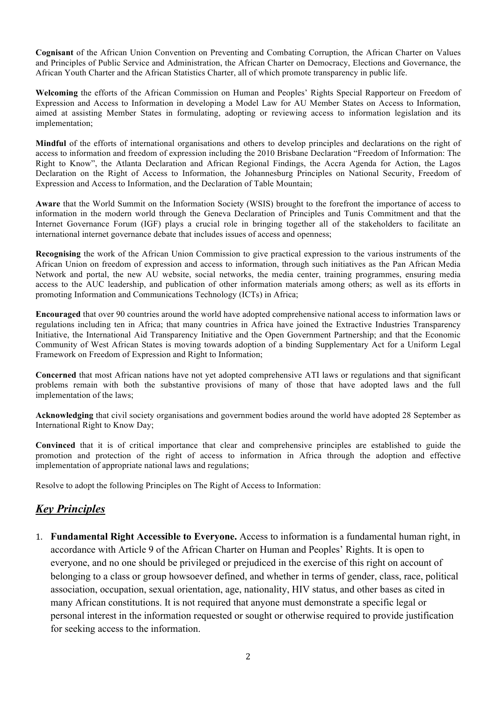**Cognisant** of the African Union Convention on Preventing and Combating Corruption, the African Charter on Values and Principles of Public Service and Administration, the African Charter on Democracy, Elections and Governance, the African Youth Charter and the African Statistics Charter, all of which promote transparency in public life.

**Welcoming** the efforts of the African Commission on Human and Peoples' Rights Special Rapporteur on Freedom of Expression and Access to Information in developing a Model Law for AU Member States on Access to Information, aimed at assisting Member States in formulating, adopting or reviewing access to information legislation and its implementation;

**Mindful** of the efforts of international organisations and others to develop principles and declarations on the right of access to information and freedom of expression including the 2010 Brisbane Declaration "Freedom of Information: The Right to Know", the Atlanta Declaration and African Regional Findings, the Accra Agenda for Action, the Lagos Declaration on the Right of Access to Information, the Johannesburg Principles on National Security, Freedom of Expression and Access to Information, and the Declaration of Table Mountain;

**Aware** that the World Summit on the Information Society (WSIS) brought to the forefront the importance of access to information in the modern world through the Geneva Declaration of Principles and Tunis Commitment and that the Internet Governance Forum (IGF) plays a crucial role in bringing together all of the stakeholders to facilitate an international internet governance debate that includes issues of access and openness;

**Recognising** the work of the African Union Commission to give practical expression to the various instruments of the African Union on freedom of expression and access to information, through such initiatives as the Pan African Media Network and portal, the new AU website, social networks, the media center, training programmes, ensuring media access to the AUC leadership, and publication of other information materials among others; as well as its efforts in promoting Information and Communications Technology (ICTs) in Africa;

**Encouraged** that over 90 countries around the world have adopted comprehensive national access to information laws or regulations including ten in Africa; that many countries in Africa have joined the Extractive Industries Transparency Initiative, the International Aid Transparency Initiative and the Open Government Partnership; and that the Economic Community of West African States is moving towards adoption of a binding Supplementary Act for a Uniform Legal Framework on Freedom of Expression and Right to Information;

**Concerned** that most African nations have not yet adopted comprehensive ATI laws or regulations and that significant problems remain with both the substantive provisions of many of those that have adopted laws and the full implementation of the laws;

**Acknowledging** that civil society organisations and government bodies around the world have adopted 28 September as International Right to Know Day;

**Convinced** that it is of critical importance that clear and comprehensive principles are established to guide the promotion and protection of the right of access to information in Africa through the adoption and effective implementation of appropriate national laws and regulations;

Resolve to adopt the following Principles on The Right of Access to Information:

#### *Key Principles*

1. **Fundamental Right Accessible to Everyone.** Access to information is a fundamental human right, in accordance with Article 9 of the African Charter on Human and Peoples' Rights. It is open to everyone, and no one should be privileged or prejudiced in the exercise of this right on account of belonging to a class or group howsoever defined, and whether in terms of gender, class, race, political association, occupation, sexual orientation, age, nationality, HIV status, and other bases as cited in many African constitutions. It is not required that anyone must demonstrate a specific legal or personal interest in the information requested or sought or otherwise required to provide justification for seeking access to the information.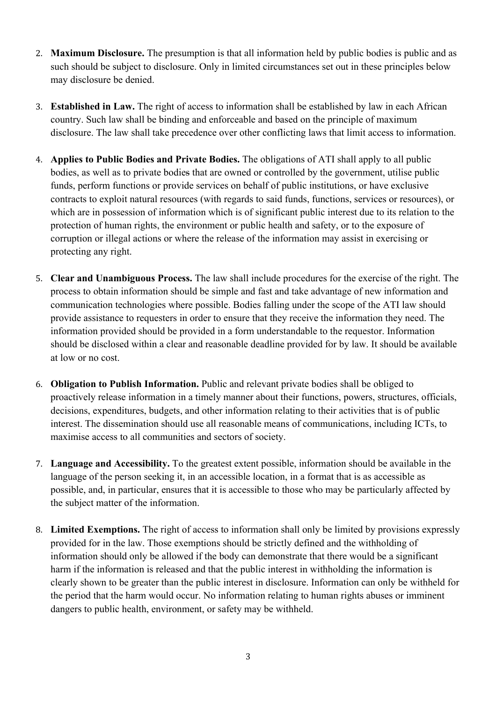- 2. **Maximum Disclosure.** The presumption is that all information held by public bodies is public and as such should be subject to disclosure. Only in limited circumstances set out in these principles below may disclosure be denied.
- 3. **Established in Law.** The right of access to information shall be established by law in each African country. Such law shall be binding and enforceable and based on the principle of maximum disclosure. The law shall take precedence over other conflicting laws that limit access to information.
- 4. **Applies to Public Bodies and Private Bodies.** The obligations of ATI shall apply to all public bodies, as well as to private bodies that are owned or controlled by the government, utilise public funds, perform functions or provide services on behalf of public institutions, or have exclusive contracts to exploit natural resources (with regards to said funds, functions, services or resources), or which are in possession of information which is of significant public interest due to its relation to the protection of human rights, the environment or public health and safety, or to the exposure of corruption or illegal actions or where the release of the information may assist in exercising or protecting any right.
- 5. **Clear and Unambiguous Process.** The law shall include procedures for the exercise of the right. The process to obtain information should be simple and fast and take advantage of new information and communication technologies where possible. Bodies falling under the scope of the ATI law should provide assistance to requesters in order to ensure that they receive the information they need. The information provided should be provided in a form understandable to the requestor. Information should be disclosed within a clear and reasonable deadline provided for by law. It should be available at low or no cost.
- 6. **Obligation to Publish Information.** Public and relevant private bodies shall be obliged to proactively release information in a timely manner about their functions, powers, structures, officials, decisions, expenditures, budgets, and other information relating to their activities that is of public interest. The dissemination should use all reasonable means of communications, including ICTs, to maximise access to all communities and sectors of society.
- 7. **Language and Accessibility.** To the greatest extent possible, information should be available in the language of the person seeking it, in an accessible location, in a format that is as accessible as possible, and, in particular, ensures that it is accessible to those who may be particularly affected by the subject matter of the information.
- 8. **Limited Exemptions.** The right of access to information shall only be limited by provisions expressly provided for in the law. Those exemptions should be strictly defined and the withholding of information should only be allowed if the body can demonstrate that there would be a significant harm if the information is released and that the public interest in withholding the information is clearly shown to be greater than the public interest in disclosure. Information can only be withheld for the period that the harm would occur. No information relating to human rights abuses or imminent dangers to public health, environment, or safety may be withheld.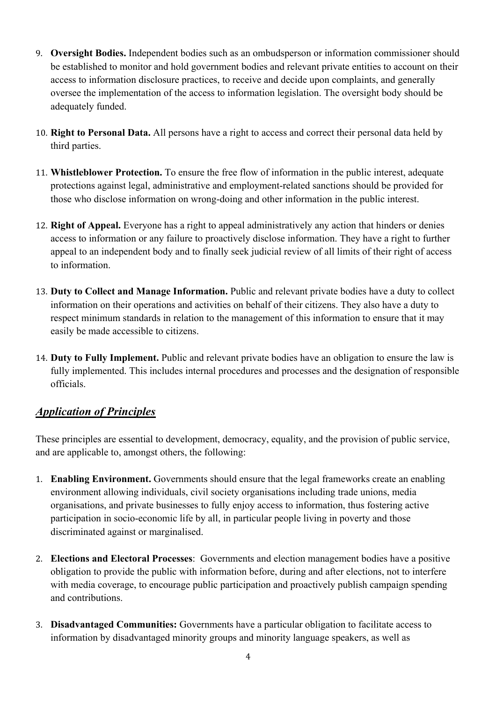- 9. **Oversight Bodies.** Independent bodies such as an ombudsperson or information commissioner should be established to monitor and hold government bodies and relevant private entities to account on their access to information disclosure practices, to receive and decide upon complaints, and generally oversee the implementation of the access to information legislation. The oversight body should be adequately funded.
- 10. **Right to Personal Data.** All persons have a right to access and correct their personal data held by third parties.
- 11. **Whistleblower Protection.** To ensure the free flow of information in the public interest, adequate protections against legal, administrative and employment-related sanctions should be provided for those who disclose information on wrong-doing and other information in the public interest.
- 12. **Right of Appeal.** Everyone has a right to appeal administratively any action that hinders or denies access to information or any failure to proactively disclose information. They have a right to further appeal to an independent body and to finally seek judicial review of all limits of their right of access to information.
- 13. **Duty to Collect and Manage Information.** Public and relevant private bodies have a duty to collect information on their operations and activities on behalf of their citizens. They also have a duty to respect minimum standards in relation to the management of this information to ensure that it may easily be made accessible to citizens.
- 14. **Duty to Fully Implement.** Public and relevant private bodies have an obligation to ensure the law is fully implemented. This includes internal procedures and processes and the designation of responsible officials.

## *Application of Principles*

These principles are essential to development, democracy, equality, and the provision of public service, and are applicable to, amongst others, the following:

- 1. **Enabling Environment.** Governments should ensure that the legal frameworks create an enabling environment allowing individuals, civil society organisations including trade unions, media organisations, and private businesses to fully enjoy access to information, thus fostering active participation in socio-economic life by all, in particular people living in poverty and those discriminated against or marginalised.
- 2. **Elections and Electoral Processes**: Governments and election management bodies have a positive obligation to provide the public with information before, during and after elections, not to interfere with media coverage, to encourage public participation and proactively publish campaign spending and contributions.
- 3. **Disadvantaged Communities:** Governments have a particular obligation to facilitate access to information by disadvantaged minority groups and minority language speakers, as well as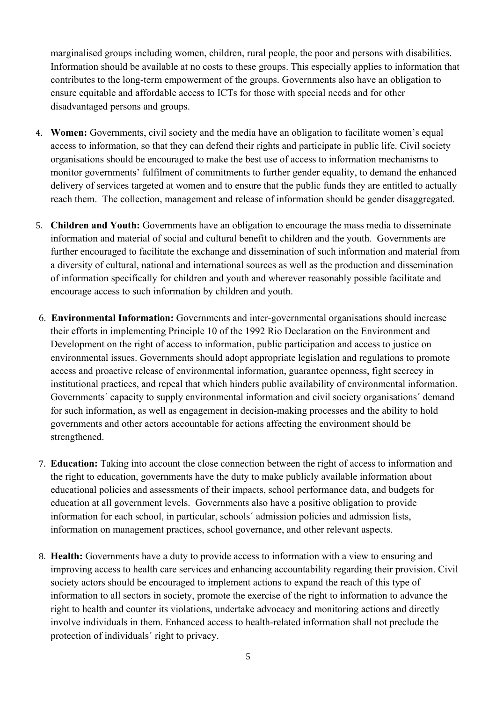marginalised groups including women, children, rural people, the poor and persons with disabilities. Information should be available at no costs to these groups. This especially applies to information that contributes to the long-term empowerment of the groups. Governments also have an obligation to ensure equitable and affordable access to ICTs for those with special needs and for other disadvantaged persons and groups.

- 4. **Women:** Governments, civil society and the media have an obligation to facilitate women's equal access to information, so that they can defend their rights and participate in public life. Civil society organisations should be encouraged to make the best use of access to information mechanisms to monitor governments' fulfilment of commitments to further gender equality, to demand the enhanced delivery of services targeted at women and to ensure that the public funds they are entitled to actually reach them. The collection, management and release of information should be gender disaggregated.
- 5. **Children and Youth:** Governments have an obligation to encourage the mass media to disseminate information and material of social and cultural benefit to children and the youth. Governments are further encouraged to facilitate the exchange and dissemination of such information and material from a diversity of cultural, national and international sources as well as the production and dissemination of information specifically for children and youth and wherever reasonably possible facilitate and encourage access to such information by children and youth.
- 6. **Environmental Information:** Governments and inter-governmental organisations should increase their efforts in implementing Principle 10 of the 1992 Rio Declaration on the Environment and Development on the right of access to information, public participation and access to justice on environmental issues. Governments should adopt appropriate legislation and regulations to promote access and proactive release of environmental information, guarantee openness, fight secrecy in institutional practices, and repeal that which hinders public availability of environmental information. Governments' capacity to supply environmental information and civil society organisations' demand for such information, as well as engagement in decision-making processes and the ability to hold governments and other actors accountable for actions affecting the environment should be strengthened.
- 7. **Education:** Taking into account the close connection between the right of access to information and the right to education, governments have the duty to make publicly available information about educational policies and assessments of their impacts, school performance data, and budgets for education at all government levels. Governments also have a positive obligation to provide information for each school, in particular, schools´ admission policies and admission lists, information on management practices, school governance, and other relevant aspects.
- 8. **Health:** Governments have a duty to provide access to information with a view to ensuring and improving access to health care services and enhancing accountability regarding their provision. Civil society actors should be encouraged to implement actions to expand the reach of this type of information to all sectors in society, promote the exercise of the right to information to advance the right to health and counter its violations, undertake advocacy and monitoring actions and directly involve individuals in them. Enhanced access to health-related information shall not preclude the protection of individuals´ right to privacy.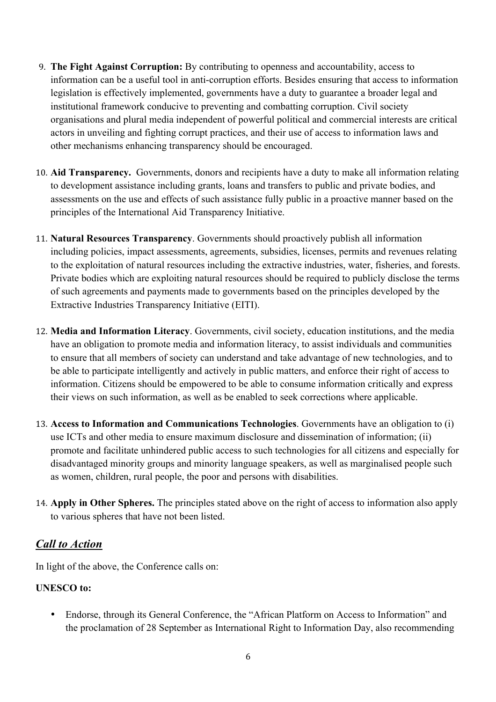- 9. **The Fight Against Corruption:** By contributing to openness and accountability, access to information can be a useful tool in anti-corruption efforts. Besides ensuring that access to information legislation is effectively implemented, governments have a duty to guarantee a broader legal and institutional framework conducive to preventing and combatting corruption. Civil society organisations and plural media independent of powerful political and commercial interests are critical actors in unveiling and fighting corrupt practices, and their use of access to information laws and other mechanisms enhancing transparency should be encouraged.
- 10. **Aid Transparency.** Governments, donors and recipients have a duty to make all information relating to development assistance including grants, loans and transfers to public and private bodies, and assessments on the use and effects of such assistance fully public in a proactive manner based on the principles of the International Aid Transparency Initiative.
- 11. **Natural Resources Transparency**. Governments should proactively publish all information including policies, impact assessments, agreements, subsidies, licenses, permits and revenues relating to the exploitation of natural resources including the extractive industries, water, fisheries, and forests. Private bodies which are exploiting natural resources should be required to publicly disclose the terms of such agreements and payments made to governments based on the principles developed by the Extractive Industries Transparency Initiative (EITI).
- 12. **Media and Information Literacy**. Governments, civil society, education institutions, and the media have an obligation to promote media and information literacy, to assist individuals and communities to ensure that all members of society can understand and take advantage of new technologies, and to be able to participate intelligently and actively in public matters, and enforce their right of access to information. Citizens should be empowered to be able to consume information critically and express their views on such information, as well as be enabled to seek corrections where applicable.
- 13. **Access to Information and Communications Technologies**. Governments have an obligation to (i) use ICTs and other media to ensure maximum disclosure and dissemination of information; (ii) promote and facilitate unhindered public access to such technologies for all citizens and especially for disadvantaged minority groups and minority language speakers, as well as marginalised people such as women, children, rural people, the poor and persons with disabilities.
- 14. **Apply in Other Spheres.** The principles stated above on the right of access to information also apply to various spheres that have not been listed.

## *Call to Action*

In light of the above, the Conference calls on:

#### **UNESCO to:**

• Endorse, through its General Conference, the "African Platform on Access to Information" and the proclamation of 28 September as International Right to Information Day, also recommending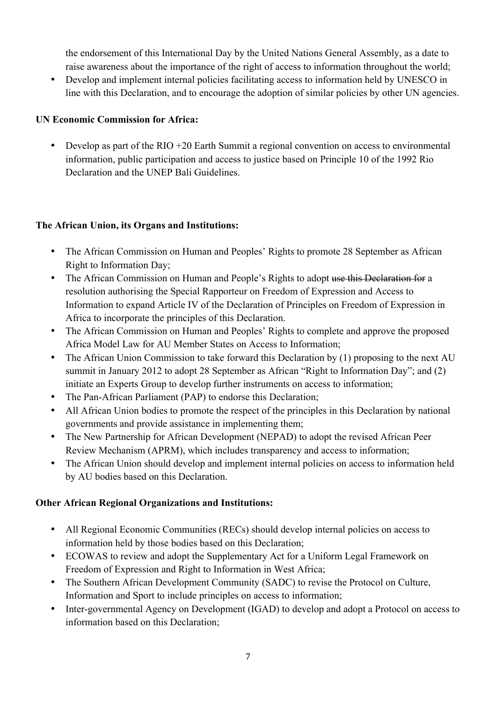the endorsement of this International Day by the United Nations General Assembly, as a date to raise awareness about the importance of the right of access to information throughout the world;

• Develop and implement internal policies facilitating access to information held by UNESCO in line with this Declaration, and to encourage the adoption of similar policies by other UN agencies.

#### **UN Economic Commission for Africa:**

• Develop as part of the RIO +20 Earth Summit a regional convention on access to environmental information, public participation and access to justice based on Principle 10 of the 1992 Rio Declaration and the UNEP Bali Guidelines.

#### **The African Union, its Organs and Institutions:**

- The African Commission on Human and Peoples' Rights to promote 28 September as African Right to Information Day;
- The African Commission on Human and People's Rights to adopt use this Declaration for a resolution authorising the Special Rapporteur on Freedom of Expression and Access to Information to expand Article IV of the Declaration of Principles on Freedom of Expression in Africa to incorporate the principles of this Declaration.
- The African Commission on Human and Peoples' Rights to complete and approve the proposed Africa Model Law for AU Member States on Access to Information;
- The African Union Commission to take forward this Declaration by (1) proposing to the next AU summit in January 2012 to adopt 28 September as African "Right to Information Day"; and (2) initiate an Experts Group to develop further instruments on access to information;
- The Pan-African Parliament (PAP) to endorse this Declaration;
- All African Union bodies to promote the respect of the principles in this Declaration by national governments and provide assistance in implementing them;
- The New Partnership for African Development (NEPAD) to adopt the revised African Peer Review Mechanism (APRM), which includes transparency and access to information;
- The African Union should develop and implement internal policies on access to information held by AU bodies based on this Declaration.

#### **Other African Regional Organizations and Institutions:**

- All Regional Economic Communities (RECs) should develop internal policies on access to information held by those bodies based on this Declaration;
- ECOWAS to review and adopt the Supplementary Act for a Uniform Legal Framework on Freedom of Expression and Right to Information in West Africa;
- The Southern African Development Community (SADC) to revise the Protocol on Culture, Information and Sport to include principles on access to information;
- Inter-governmental Agency on Development (IGAD) to develop and adopt a Protocol on access to information based on this Declaration;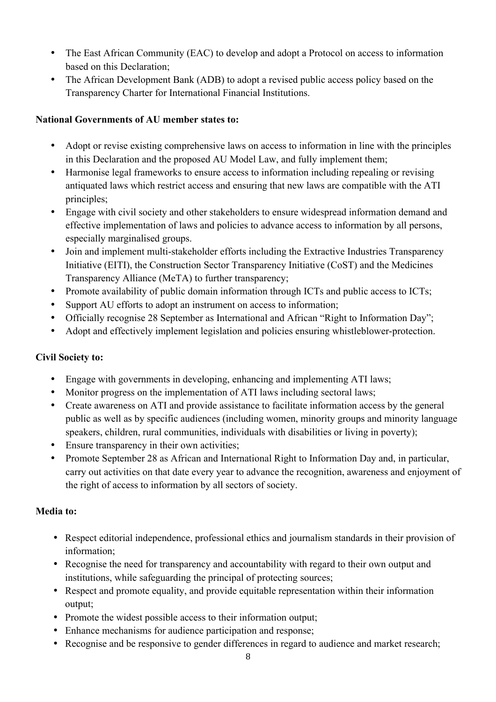- The East African Community (EAC) to develop and adopt a Protocol on access to information based on this Declaration;
- The African Development Bank (ADB) to adopt a revised public access policy based on the Transparency Charter for International Financial Institutions.

#### **National Governments of AU member states to:**

- Adopt or revise existing comprehensive laws on access to information in line with the principles in this Declaration and the proposed AU Model Law, and fully implement them;
- Harmonise legal frameworks to ensure access to information including repealing or revising antiquated laws which restrict access and ensuring that new laws are compatible with the ATI principles;
- Engage with civil society and other stakeholders to ensure widespread information demand and effective implementation of laws and policies to advance access to information by all persons, especially marginalised groups.
- Join and implement multi-stakeholder efforts including the Extractive Industries Transparency Initiative (EITI), the Construction Sector Transparency Initiative (CoST) and the Medicines Transparency Alliance (MeTA) to further transparency;
- Promote availability of public domain information through ICTs and public access to ICTs;
- Support AU efforts to adopt an instrument on access to information;
- Officially recognise 28 September as International and African "Right to Information Day";
- Adopt and effectively implement legislation and policies ensuring whistleblower-protection.

#### **Civil Society to:**

- Engage with governments in developing, enhancing and implementing ATI laws;
- Monitor progress on the implementation of ATI laws including sectoral laws;
- Create awareness on ATI and provide assistance to facilitate information access by the general public as well as by specific audiences (including women, minority groups and minority language speakers, children, rural communities, individuals with disabilities or living in poverty);
- Ensure transparency in their own activities;
- Promote September 28 as African and International Right to Information Day and, in particular, carry out activities on that date every year to advance the recognition, awareness and enjoyment of the right of access to information by all sectors of society.

#### **Media to:**

- Respect editorial independence, professional ethics and journalism standards in their provision of information;
- Recognise the need for transparency and accountability with regard to their own output and institutions, while safeguarding the principal of protecting sources;
- Respect and promote equality, and provide equitable representation within their information output;
- Promote the widest possible access to their information output;
- Enhance mechanisms for audience participation and response;
- Recognise and be responsive to gender differences in regard to audience and market research;